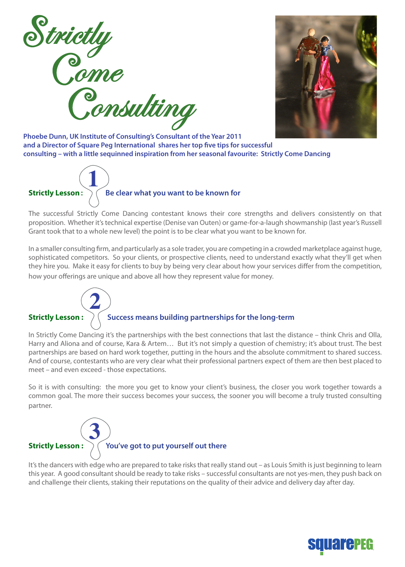



**Phoebe Dunn, UK Institute of Consulting's Consultant of the Year 2011 and a Director of Square Peg International shares her top five tips for successful consulting – with a little sequinned inspiration from her seasonal favourite: Strictly Come Dancing**



The successful Strictly Come Dancing contestant knows their core strengths and delivers consistently on that proposition. Whether it's technical expertise (Denise van Outen) or game-for-a-laugh showmanship (last year's Russell Grant took that to a whole new level) the point is to be clear what you want to be known for.

In a smaller consulting firm, and particularly as a sole trader, you are competing in a crowded marketplace against huge, sophisticated competitors. So your clients, or prospective clients, need to understand exactly what they'll get when they hire you. Make it easy for clients to buy by being very clear about how your services differ from the competition, how your offerings are unique and above all how they represent value for money.

## **2**

## **Strictly Lesson :**  $\left. \right)$   $\left($  Success means building partnerships for the long-term

In Strictly Come Dancing it's the partnerships with the best connections that last the distance – think Chris and Olla, Harry and Aliona and of course, Kara & Artem… But it's not simply a question of chemistry; it's about trust. The best partnerships are based on hard work together, putting in the hours and the absolute commitment to shared success. And of course, contestants who are very clear what their professional partners expect of them are then best placed to meet – and even exceed - those expectations.

So it is with consulting: the more you get to know your client's business, the closer you work together towards a common goal. The more their success becomes your success, the sooner you will become a truly trusted consulting partner.

## **Strictly Lesson : You've got to put yourself out there 3**

It's the dancers with edge who are prepared to take risks that really stand out – as Louis Smith is just beginning to learn this year. A good consultant should be ready to take risks – successful consultants are not yes-men, they push back on and challenge their clients, staking their reputations on the quality of their advice and delivery day after day.